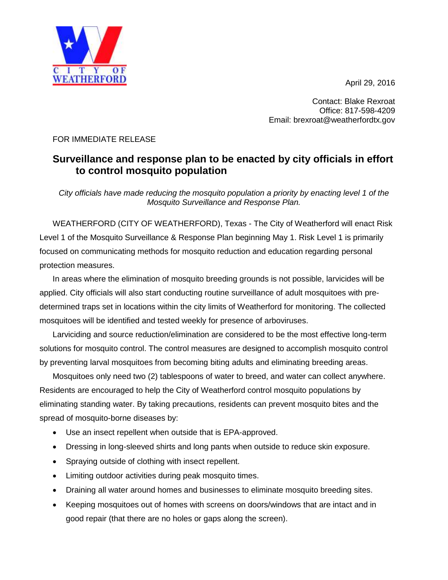April 29, 2016



Contact: Blake Rexroat Office: 817-598-4209 Email: brexroat@weatherfordtx.gov

## FOR IMMEDIATE RELEASE

## **Surveillance and response plan to be enacted by city officials in effort to control mosquito population**

*City officials have made reducing the mosquito population a priority by enacting level 1 of the Mosquito Surveillance and Response Plan.*

WEATHERFORD (CITY OF WEATHERFORD), Texas - The City of Weatherford will enact Risk Level 1 of the Mosquito Surveillance & Response Plan beginning May 1. Risk Level 1 is primarily focused on communicating methods for mosquito reduction and education regarding personal protection measures.

In areas where the elimination of mosquito breeding grounds is not possible, larvicides will be applied. City officials will also start conducting routine surveillance of adult mosquitoes with predetermined traps set in locations within the city limits of Weatherford for monitoring. The collected mosquitoes will be identified and tested weekly for presence of arboviruses.

Larviciding and source reduction/elimination are considered to be the most effective long-term solutions for mosquito control. The control measures are designed to accomplish mosquito control by preventing larval mosquitoes from becoming biting adults and eliminating breeding areas.

Mosquitoes only need two (2) tablespoons of water to breed, and water can collect anywhere. Residents are encouraged to help the City of Weatherford control mosquito populations by eliminating standing water. By taking precautions, residents can prevent mosquito bites and the spread of mosquito-borne diseases by:

- Use an insect repellent when outside that is EPA-approved.
- Dressing in long-sleeved shirts and long pants when outside to reduce skin exposure.
- Spraying outside of clothing with insect repellent.
- Limiting outdoor activities during peak mosquito times.
- Draining all water around homes and businesses to eliminate mosquito breeding sites.
- Keeping mosquitoes out of homes with screens on doors/windows that are intact and in good repair (that there are no holes or gaps along the screen).